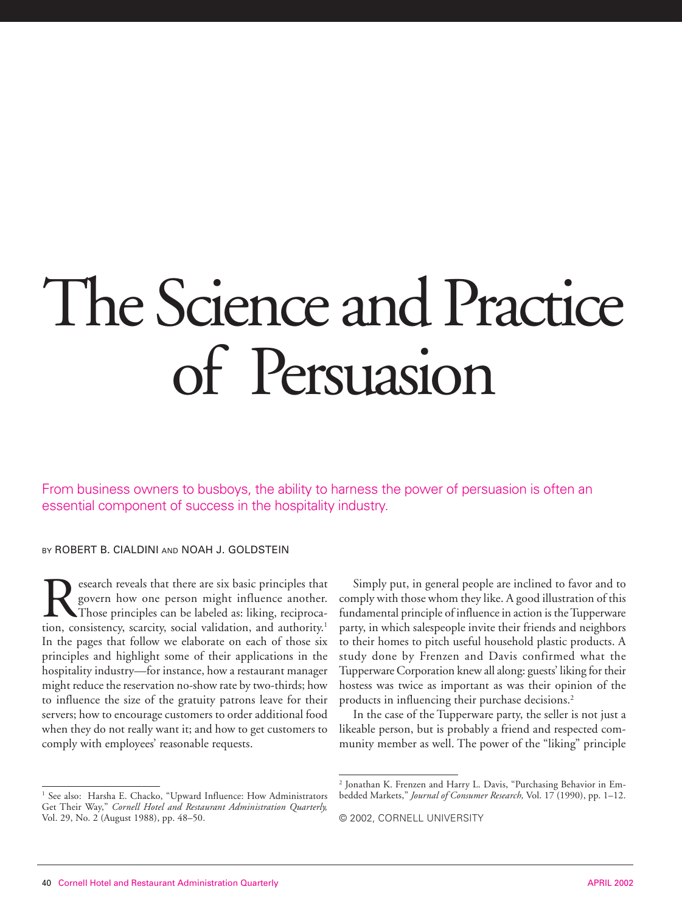# The Science and Practice of Persuasion

From business owners to busboys, the ability to harness the power of persuasion is often an essential component of success in the hospitality industry.

BY ROBERT B. CIALDINI AND NOAH J. GOLDSTEIN

Research reveals that there are six basic principles that govern how one person might influence another.<br>Those principles can be labeled as: liking, reciprocation, consistency, scarcity, social validation, and authority.<sup>1</sup> govern how one person might influence another. Those principles can be labeled as: liking, reciprocation, consistency, scarcity, social validation, and authority.<sup>1</sup> In the pages that follow we elaborate on each of those six principles and highlight some of their applications in the hospitality industry—for instance, how a restaurant manager might reduce the reservation no-show rate by two-thirds; how to influence the size of the gratuity patrons leave for their servers; how to encourage customers to order additional food when they do not really want it; and how to get customers to comply with employees' reasonable requests.

Simply put, in general people are inclined to favor and to comply with those whom they like. A good illustration of this fundamental principle of influence in action is the Tupperware party, in which salespeople invite their friends and neighbors to their homes to pitch useful household plastic products. A study done by Frenzen and Davis confirmed what the Tupperware Corporation knew all along: guests' liking for their hostess was twice as important as was their opinion of the products in influencing their purchase decisions.<sup>2</sup>

In the case of the Tupperware party, the seller is not just a likeable person, but is probably a friend and respected community member as well. The power of the "liking" principle

<sup>&</sup>lt;sup>1</sup> See also: Harsha E. Chacko, "Upward Influence: How Administrators Get Their Way," *Cornell Hotel and Restaurant Administration Quarterly,* Vol. 29, No. 2 (August 1988), pp. 48–50.

<sup>2</sup> Jonathan K. Frenzen and Harry L. Davis, "Purchasing Behavior in Embedded Markets," *Journal of Consumer Research,* Vol. 17 (1990), pp. 1–12.

<sup>© 2002,</sup> CORNELL UNIVERSITY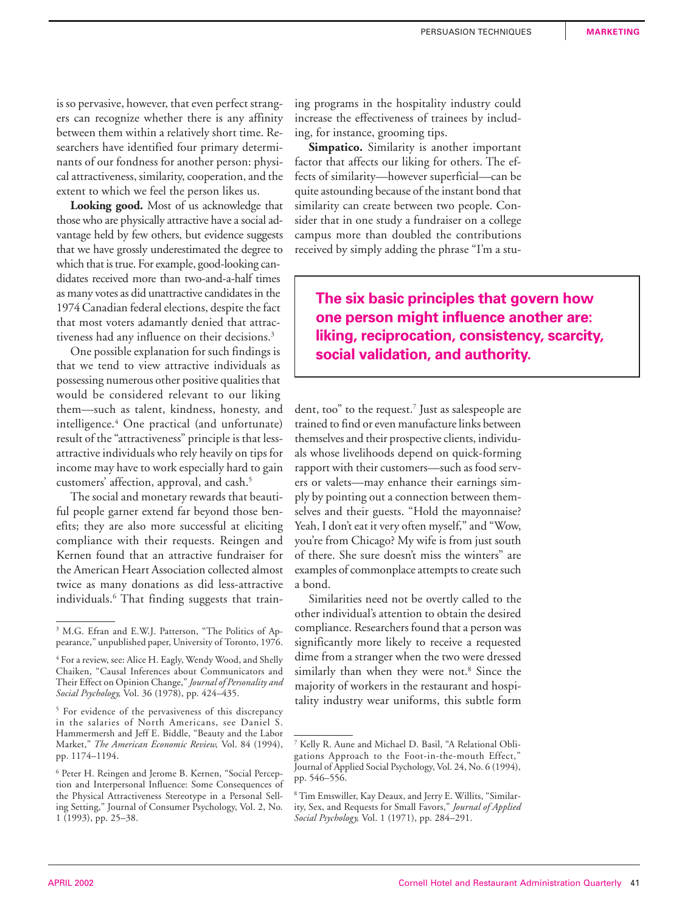is so pervasive, however, that even perfect strangers can recognize whether there is any affinity between them within a relatively short time. Researchers have identified four primary determinants of our fondness for another person: physical attractiveness, similarity, cooperation, and the extent to which we feel the person likes us.

**Looking good.** Most of us acknowledge that those who are physically attractive have a social advantage held by few others, but evidence suggests that we have grossly underestimated the degree to which that is true. For example, good-looking candidates received more than two-and-a-half times as many votes as did unattractive candidates in the 1974 Canadian federal elections, despite the fact that most voters adamantly denied that attractiveness had any influence on their decisions.<sup>3</sup>

One possible explanation for such findings is that we tend to view attractive individuals as possessing numerous other positive qualities that would be considered relevant to our liking them—such as talent, kindness, honesty, and intelligence.4 One practical (and unfortunate) result of the "attractiveness" principle is that lessattractive individuals who rely heavily on tips for income may have to work especially hard to gain customers' affection, approval, and cash.5

The social and monetary rewards that beautiful people garner extend far beyond those benefits; they are also more successful at eliciting compliance with their requests. Reingen and Kernen found that an attractive fundraiser for the American Heart Association collected almost twice as many donations as did less-attractive individuals.6 That finding suggests that training programs in the hospitality industry could increase the effectiveness of trainees by including, for instance, grooming tips.

**Simpatico.** Similarity is another important factor that affects our liking for others. The effects of similarity—however superficial—can be quite astounding because of the instant bond that similarity can create between two people. Consider that in one study a fundraiser on a college campus more than doubled the contributions received by simply adding the phrase "I'm a stu-

**The six basic principles that govern how one person might influence another are: liking, reciprocation, consistency, scarcity, social validation, and authority.**

dent, too" to the request.7 Just as salespeople are trained to find or even manufacture links between themselves and their prospective clients, individuals whose livelihoods depend on quick-forming rapport with their customers—such as food servers or valets—may enhance their earnings simply by pointing out a connection between themselves and their guests. "Hold the mayonnaise? Yeah, I don't eat it very often myself," and "Wow, you're from Chicago? My wife is from just south of there. She sure doesn't miss the winters" are examples of commonplace attempts to create such a bond.

Similarities need not be overtly called to the other individual's attention to obtain the desired compliance. Researchers found that a person was significantly more likely to receive a requested dime from a stranger when the two were dressed similarly than when they were not.<sup>8</sup> Since the majority of workers in the restaurant and hospitality industry wear uniforms, this subtle form

<sup>&</sup>lt;sup>3</sup> M.G. Efran and E.W.J. Patterson, "The Politics of Appearance," unpublished paper, University of Toronto, 1976.

<sup>4</sup> For a review, see: Alice H. Eagly, Wendy Wood, and Shelly Chaiken, "Causal Inferences about Communicators and Their Effect on Opinion Change," *Journal of Personality and Social Psychology,* Vol. 36 (1978), pp. 424–435.

<sup>5</sup> For evidence of the pervasiveness of this discrepancy in the salaries of North Americans, see Daniel S. Hammermersh and Jeff E. Biddle, "Beauty and the Labor Market," *The American Economic Review,* Vol. 84 (1994), pp. 1174–1194.

<sup>6</sup> Peter H. Reingen and Jerome B. Kernen, "Social Perception and Interpersonal Influence: Some Consequences of the Physical Attractiveness Stereotype in a Personal Selling Setting," Journal of Consumer Psychology, Vol. 2, No. 1 (1993), pp. 25–38.

<sup>7</sup> Kelly R. Aune and Michael D. Basil, "A Relational Obligations Approach to the Foot-in-the-mouth Effect," Journal of Applied Social Psychology, Vol. 24, No. 6 (1994), pp. 546–556.

<sup>8</sup> Tim Emswiller, Kay Deaux, and Jerry E. Willits, "Similarity, Sex, and Requests for Small Favors," *Journal of Applied Social Psychology,* Vol. 1 (1971), pp. 284–291.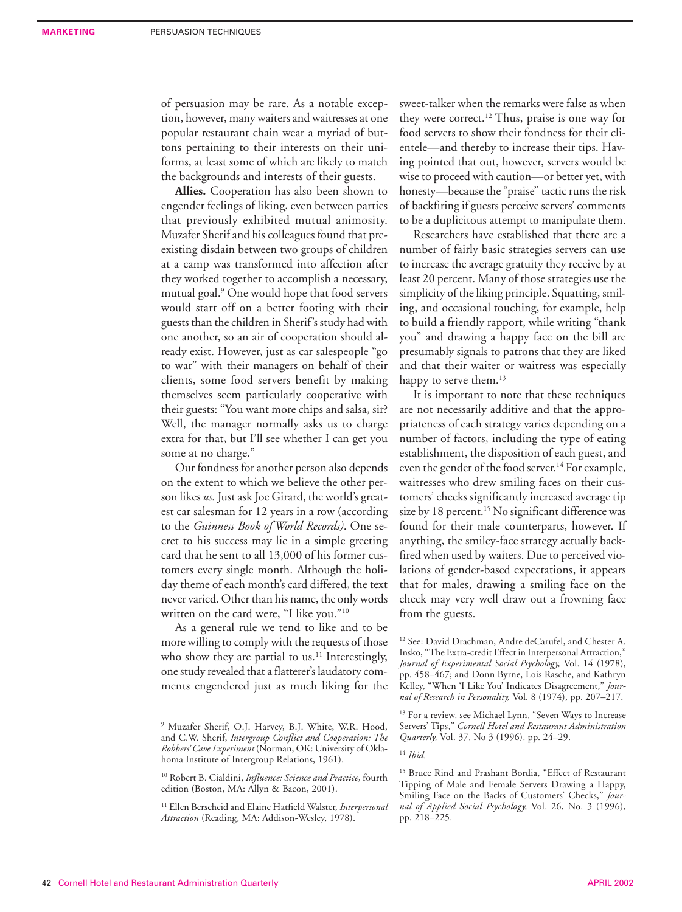of persuasion may be rare. As a notable exception, however, many waiters and waitresses at one popular restaurant chain wear a myriad of buttons pertaining to their interests on their uniforms, at least some of which are likely to match the backgrounds and interests of their guests.

**Allies.** Cooperation has also been shown to engender feelings of liking, even between parties that previously exhibited mutual animosity. Muzafer Sherif and his colleagues found that preexisting disdain between two groups of children at a camp was transformed into affection after they worked together to accomplish a necessary, mutual goal.9 One would hope that food servers would start off on a better footing with their guests than the children in Sherif's study had with one another, so an air of cooperation should already exist. However, just as car salespeople "go to war" with their managers on behalf of their clients, some food servers benefit by making themselves seem particularly cooperative with their guests: "You want more chips and salsa, sir? Well, the manager normally asks us to charge extra for that, but I'll see whether I can get you some at no charge."

Our fondness for another person also depends on the extent to which we believe the other person likes *us.* Just ask Joe Girard, the world's greatest car salesman for 12 years in a row (according to the *Guinness Book of World Records)*. One secret to his success may lie in a simple greeting card that he sent to all 13,000 of his former customers every single month. Although the holiday theme of each month's card differed, the text never varied. Other than his name, the only words written on the card were, "I like you."<sup>10</sup>

As a general rule we tend to like and to be more willing to comply with the requests of those who show they are partial to us.<sup>11</sup> Interestingly, one study revealed that a flatterer's laudatory comments engendered just as much liking for the

sweet-talker when the remarks were false as when they were correct.12 Thus, praise is one way for food servers to show their fondness for their clientele—and thereby to increase their tips. Having pointed that out, however, servers would be wise to proceed with caution—or better yet, with honesty—because the "praise" tactic runs the risk of backfiring if guests perceive servers' comments to be a duplicitous attempt to manipulate them.

Researchers have established that there are a number of fairly basic strategies servers can use to increase the average gratuity they receive by at least 20 percent. Many of those strategies use the simplicity of the liking principle. Squatting, smiling, and occasional touching, for example, help to build a friendly rapport, while writing "thank you" and drawing a happy face on the bill are presumably signals to patrons that they are liked and that their waiter or waitress was especially happy to serve them.<sup>13</sup>

It is important to note that these techniques are not necessarily additive and that the appropriateness of each strategy varies depending on a number of factors, including the type of eating establishment, the disposition of each guest, and even the gender of the food server.<sup>14</sup> For example, waitresses who drew smiling faces on their customers' checks significantly increased average tip size by 18 percent.<sup>15</sup> No significant difference was found for their male counterparts, however. If anything, the smiley-face strategy actually backfired when used by waiters. Due to perceived violations of gender-based expectations, it appears that for males, drawing a smiling face on the check may very well draw out a frowning face from the guests.

<sup>9</sup> Muzafer Sherif, O.J. Harvey, B.J. White, W.R. Hood, and C.W. Sherif, *Intergroup Conflict and Cooperation: The Robbers' Cave Experiment* (Norman, OK: University of Oklahoma Institute of Intergroup Relations, 1961).

<sup>10</sup> Robert B. Cialdini, *Influence: Science and Practice,* fourth edition (Boston, MA: Allyn & Bacon, 2001).

<sup>11</sup> Ellen Berscheid and Elaine Hatfield Walster, *Interpersonal Attraction* (Reading, MA: Addison-Wesley, 1978).

<sup>12</sup> See: David Drachman, Andre deCarufel, and Chester A. Insko, "The Extra-credit Effect in Interpersonal Attraction," *Journal of Experimental Social Psychology,* Vol. 14 (1978), pp. 458–467; and Donn Byrne, Lois Rasche, and Kathryn Kelley, "When 'I Like You' Indicates Disagreement," *Journal of Research in Personality,* Vol. 8 (1974), pp. 207–217.

<sup>&</sup>lt;sup>13</sup> For a review, see Michael Lynn, "Seven Ways to Increase Servers' Tips," *Cornell Hotel and Restaurant Administration Quarterly,* Vol. 37, No 3 (1996), pp. 24–29.

<sup>14</sup> *Ibid.*

<sup>15</sup> Bruce Rind and Prashant Bordia, "Effect of Restaurant Tipping of Male and Female Servers Drawing a Happy, Smiling Face on the Backs of Customers' Checks," *Journal of Applied Social Psychology,* Vol. 26, No. 3 (1996), pp. 218–225.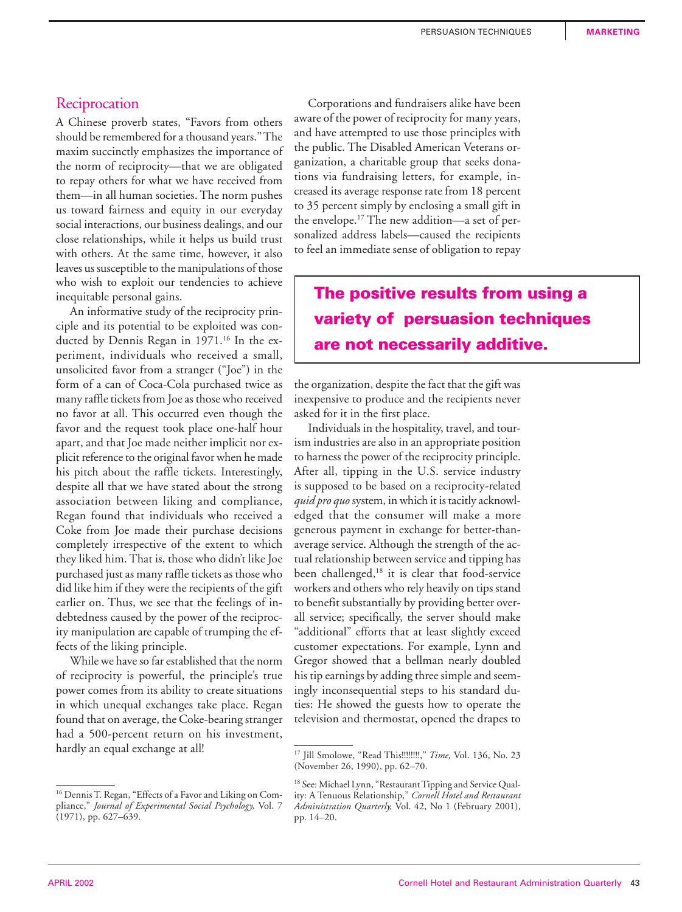## **Reciprocation**

A Chinese proverb states, "Favors from others should be remembered for a thousand years." The maxim succinctly emphasizes the importance of the norm of reciprocity—that we are obligated to repay others for what we have received from them—in all human societies. The norm pushes us toward fairness and equity in our everyday social interactions, our business dealings, and our close relationships, while it helps us build trust with others. At the same time, however, it also leaves us susceptible to the manipulations of those who wish to exploit our tendencies to achieve inequitable personal gains.

An informative study of the reciprocity principle and its potential to be exploited was conducted by Dennis Regan in 1971.<sup>16</sup> In the experiment, individuals who received a small, unsolicited favor from a stranger ("Joe") in the form of a can of Coca-Cola purchased twice as many raffle tickets from Joe as those who received no favor at all. This occurred even though the favor and the request took place one-half hour apart, and that Joe made neither implicit nor explicit reference to the original favor when he made his pitch about the raffle tickets. Interestingly, despite all that we have stated about the strong association between liking and compliance, Regan found that individuals who received a Coke from Joe made their purchase decisions completely irrespective of the extent to which they liked him. That is, those who didn't like Joe purchased just as many raffle tickets as those who did like him if they were the recipients of the gift earlier on. Thus, we see that the feelings of indebtedness caused by the power of the reciprocity manipulation are capable of trumping the effects of the liking principle.

While we have so far established that the norm of reciprocity is powerful, the principle's true power comes from its ability to create situations in which unequal exchanges take place. Regan found that on average, the Coke-bearing stranger had a 500-percent return on his investment, hardly an equal exchange at all!

Corporations and fundraisers alike have been aware of the power of reciprocity for many years, and have attempted to use those principles with the public. The Disabled American Veterans organization, a charitable group that seeks donations via fundraising letters, for example, increased its average response rate from 18 percent to 35 percent simply by enclosing a small gift in the envelope.17 The new addition—a set of personalized address labels—caused the recipients to feel an immediate sense of obligation to repay

# **The positive results from using a variety of persuasion techniques are not necessarily additive.**

the organization, despite the fact that the gift was inexpensive to produce and the recipients never asked for it in the first place.

Individuals in the hospitality, travel, and tourism industries are also in an appropriate position to harness the power of the reciprocity principle. After all, tipping in the U.S. service industry is supposed to be based on a reciprocity-related *quid pro quo* system, in which it is tacitly acknowledged that the consumer will make a more generous payment in exchange for better-thanaverage service. Although the strength of the actual relationship between service and tipping has been challenged,<sup>18</sup> it is clear that food-service workers and others who rely heavily on tips stand to benefit substantially by providing better overall service; specifically, the server should make "additional" efforts that at least slightly exceed customer expectations. For example, Lynn and Gregor showed that a bellman nearly doubled his tip earnings by adding three simple and seemingly inconsequential steps to his standard duties: He showed the guests how to operate the television and thermostat, opened the drapes to

<sup>&</sup>lt;sup>16</sup> Dennis T. Regan, "Effects of a Favor and Liking on Compliance," *Journal of Experimental Social Psychology,* Vol. 7 (1971), pp. 627–639.

<sup>17</sup> Jill Smolowe, "Read This!!!!!!!!," *Time,* Vol. 136, No. 23 (November 26, 1990), pp. 62–70.

<sup>&</sup>lt;sup>18</sup> See: Michael Lynn, "Restaurant Tipping and Service Quality: A Tenuous Relationship," *Cornell Hotel and Restaurant Administration Quarterly,* Vol. 42, No 1 (February 2001), pp. 14–20.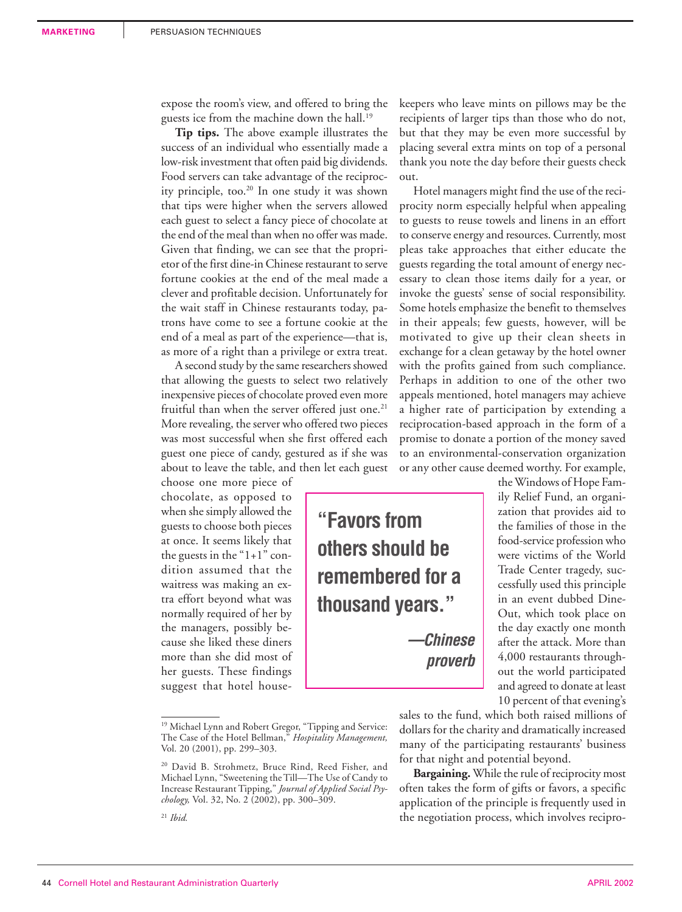expose the room's view, and offered to bring the guests ice from the machine down the hall.<sup>19</sup>

**Tip tips.** The above example illustrates the success of an individual who essentially made a low-risk investment that often paid big dividends. Food servers can take advantage of the reciprocity principle, too.<sup>20</sup> In one study it was shown that tips were higher when the servers allowed each guest to select a fancy piece of chocolate at the end of the meal than when no offer was made. Given that finding, we can see that the proprietor of the first dine-in Chinese restaurant to serve fortune cookies at the end of the meal made a clever and profitable decision. Unfortunately for the wait staff in Chinese restaurants today, patrons have come to see a fortune cookie at the end of a meal as part of the experience—that is, as more of a right than a privilege or extra treat.

A second study by the same researchers showed that allowing the guests to select two relatively inexpensive pieces of chocolate proved even more fruitful than when the server offered just one.<sup>21</sup> More revealing, the server who offered two pieces was most successful when she first offered each guest one piece of candy, gestured as if she was about to leave the table, and then let each guest

choose one more piece of chocolate, as opposed to when she simply allowed the guests to choose both pieces at once. It seems likely that the guests in the " $1+1$ " condition assumed that the waitress was making an extra effort beyond what was normally required of her by the managers, possibly because she liked these diners more than she did most of her guests. These findings suggest that hotel housekeepers who leave mints on pillows may be the recipients of larger tips than those who do not, but that they may be even more successful by placing several extra mints on top of a personal thank you note the day before their guests check out.

Hotel managers might find the use of the reciprocity norm especially helpful when appealing to guests to reuse towels and linens in an effort to conserve energy and resources. Currently, most pleas take approaches that either educate the guests regarding the total amount of energy necessary to clean those items daily for a year, or invoke the guests' sense of social responsibility. Some hotels emphasize the benefit to themselves in their appeals; few guests, however, will be motivated to give up their clean sheets in exchange for a clean getaway by the hotel owner with the profits gained from such compliance. Perhaps in addition to one of the other two appeals mentioned, hotel managers may achieve a higher rate of participation by extending a reciprocation-based approach in the form of a promise to donate a portion of the money saved to an environmental-conservation organization or any other cause deemed worthy. For example,

**"Favors from others should be remembered for a thousand years." —Chinese proverb** the Windows of Hope Family Relief Fund, an organization that provides aid to the families of those in the food-service profession who were victims of the World Trade Center tragedy, successfully used this principle in an event dubbed Dine-Out, which took place on the day exactly one month after the attack. More than 4,000 restaurants throughout the world participated and agreed to donate at least 10 percent of that evening's

sales to the fund, which both raised millions of dollars for the charity and dramatically increased many of the participating restaurants' business for that night and potential beyond.

**Bargaining.** While the rule of reciprocity most often takes the form of gifts or favors, a specific application of the principle is frequently used in the negotiation process, which involves recipro-

<sup>19</sup> Michael Lynn and Robert Gregor, "Tipping and Service: The Case of the Hotel Bellman," *Hospitality Management,* Vol. 20 (2001), pp. 299–303.

<sup>20</sup> David B. Strohmetz, Bruce Rind, Reed Fisher, and Michael Lynn, "Sweetening the Till—The Use of Candy to Increase Restaurant Tipping," *Journal of Applied Social Psychology,* Vol. 32, No. 2 (2002), pp. 300–309.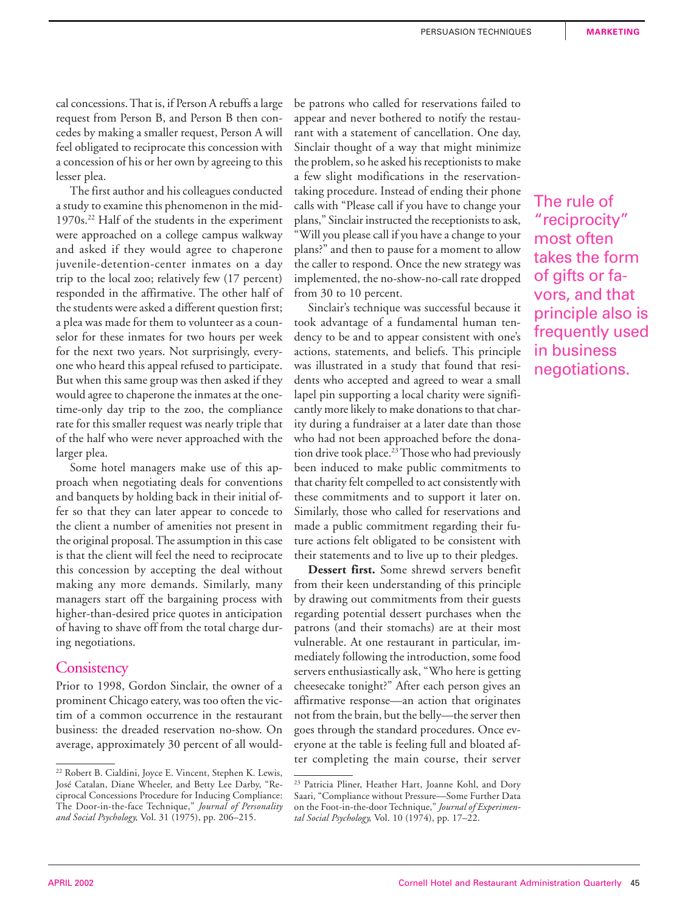cal concessions. That is, if Person A rebuffs a large request from Person B, and Person B then concedes by making a smaller request, Person A will feel obligated to reciprocate this concession with a concession of his or her own by agreeing to this lesser plea.

The first author and his colleagues conducted a study to examine this phenomenon in the mid-1970s.22 Half of the students in the experiment were approached on a college campus walkway and asked if they would agree to chaperone juvenile-detention-center inmates on a day trip to the local zoo; relatively few (17 percent) responded in the affirmative. The other half of the students were asked a different question first; a plea was made for them to volunteer as a counselor for these inmates for two hours per week for the next two years. Not surprisingly, everyone who heard this appeal refused to participate. But when this same group was then asked if they would agree to chaperone the inmates at the onetime-only day trip to the zoo, the compliance rate for this smaller request was nearly triple that of the half who were never approached with the larger plea.

Some hotel managers make use of this approach when negotiating deals for conventions and banquets by holding back in their initial offer so that they can later appear to concede to the client a number of amenities not present in the original proposal. The assumption in this case is that the client will feel the need to reciprocate this concession by accepting the deal without making any more demands. Similarly, many managers start off the bargaining process with higher-than-desired price quotes in anticipation of having to shave off from the total charge during negotiations.

#### **Consistency**

Prior to 1998, Gordon Sinclair, the owner of a prominent Chicago eatery, was too often the victim of a common occurrence in the restaurant business: the dreaded reservation no-show. On average, approximately 30 percent of all wouldbe patrons who called for reservations failed to appear and never bothered to notify the restaurant with a statement of cancellation. One day, Sinclair thought of a way that might minimize the problem, so he asked his receptionists to make a few slight modifications in the reservationtaking procedure. Instead of ending their phone calls with "Please call if you have to change your plans," Sinclair instructed the receptionists to ask, "Will you please call if you have a change to your plans?" and then to pause for a moment to allow the caller to respond. Once the new strategy was implemented, the no-show-no-call rate dropped from 30 to 10 percent.

Sinclair's technique was successful because it took advantage of a fundamental human tendency to be and to appear consistent with one's actions, statements, and beliefs. This principle was illustrated in a study that found that residents who accepted and agreed to wear a small lapel pin supporting a local charity were significantly more likely to make donations to that charity during a fundraiser at a later date than those who had not been approached before the donation drive took place.<sup>23</sup> Those who had previously been induced to make public commitments to that charity felt compelled to act consistently with these commitments and to support it later on. Similarly, those who called for reservations and made a public commitment regarding their future actions felt obligated to be consistent with their statements and to live up to their pledges.

**Dessert first.** Some shrewd servers benefit from their keen understanding of this principle by drawing out commitments from their guests regarding potential dessert purchases when the patrons (and their stomachs) are at their most vulnerable. At one restaurant in particular, immediately following the introduction, some food servers enthusiastically ask, "Who here is getting cheesecake tonight?" After each person gives an affirmative response—an action that originates not from the brain, but the belly—the server then goes through the standard procedures. Once everyone at the table is feeling full and bloated after completing the main course, their server

The rule of "reciprocity" most often takes the form of gifts or favors, and that principle also is frequently used in business negotiations.

<sup>22</sup> Robert B. Cialdini, Joyce E. Vincent, Stephen K. Lewis, José Catalan, Diane Wheeler, and Betty Lee Darby, "Reciprocal Concessions Procedure for Inducing Compliance: The Door-in-the-face Technique," *Journal of Personality and Social Psychology,* Vol. 31 (1975), pp. 206–215.

<sup>23</sup> Patricia Pliner, Heather Hart, Joanne Kohl, and Dory Saari, "Compliance without Pressure—Some Further Data on the Foot-in-the-door Technique," *Journal of Experimental Social Psychology,* Vol. 10 (1974), pp. 17–22.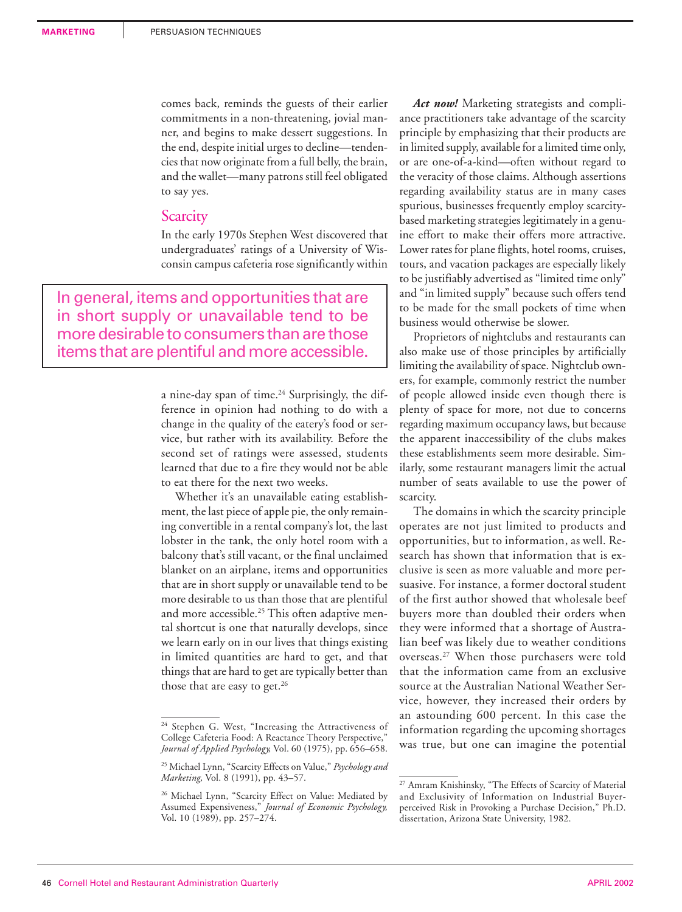comes back, reminds the guests of their earlier commitments in a non-threatening, jovial manner, and begins to make dessert suggestions. In the end, despite initial urges to decline—tendencies that now originate from a full belly, the brain, and the wallet—many patrons still feel obligated to say yes.

#### **Scarcity**

In the early 1970s Stephen West discovered that undergraduates' ratings of a University of Wisconsin campus cafeteria rose significantly within

In general, items and opportunities that are in short supply or unavailable tend to be more desirable to consumers than are those items that are plentiful and more accessible.

> a nine-day span of time. $24$  Surprisingly, the difference in opinion had nothing to do with a change in the quality of the eatery's food or service, but rather with its availability. Before the second set of ratings were assessed, students learned that due to a fire they would not be able to eat there for the next two weeks.

> Whether it's an unavailable eating establishment, the last piece of apple pie, the only remaining convertible in a rental company's lot, the last lobster in the tank, the only hotel room with a balcony that's still vacant, or the final unclaimed blanket on an airplane, items and opportunities that are in short supply or unavailable tend to be more desirable to us than those that are plentiful and more accessible.25 This often adaptive mental shortcut is one that naturally develops, since we learn early on in our lives that things existing in limited quantities are hard to get, and that things that are hard to get are typically better than those that are easy to get. $^{26}$

Act now! Marketing strategists and compliance practitioners take advantage of the scarcity principle by emphasizing that their products are in limited supply, available for a limited time only, or are one-of-a-kind—often without regard to the veracity of those claims. Although assertions regarding availability status are in many cases spurious, businesses frequently employ scarcitybased marketing strategies legitimately in a genuine effort to make their offers more attractive. Lower rates for plane flights, hotel rooms, cruises, tours, and vacation packages are especially likely to be justifiably advertised as "limited time only" and "in limited supply" because such offers tend to be made for the small pockets of time when business would otherwise be slower.

Proprietors of nightclubs and restaurants can also make use of those principles by artificially limiting the availability of space. Nightclub owners, for example, commonly restrict the number of people allowed inside even though there is plenty of space for more, not due to concerns regarding maximum occupancy laws, but because the apparent inaccessibility of the clubs makes these establishments seem more desirable. Similarly, some restaurant managers limit the actual number of seats available to use the power of scarcity.

The domains in which the scarcity principle operates are not just limited to products and opportunities, but to information, as well. Research has shown that information that is exclusive is seen as more valuable and more persuasive. For instance, a former doctoral student of the first author showed that wholesale beef buyers more than doubled their orders when they were informed that a shortage of Australian beef was likely due to weather conditions overseas.27 When those purchasers were told that the information came from an exclusive source at the Australian National Weather Service, however, they increased their orders by an astounding 600 percent. In this case the information regarding the upcoming shortages was true, but one can imagine the potential

<sup>&</sup>lt;sup>24</sup> Stephen G. West, "Increasing the Attractiveness of College Cafeteria Food: A Reactance Theory Perspective," *Journal of Applied Psychology,* Vol. 60 (1975), pp. 656–658.

<sup>25</sup> Michael Lynn, "Scarcity Effects on Value," *Psychology and Marketing,* Vol. 8 (1991), pp. 43–57.

<sup>26</sup> Michael Lynn, "Scarcity Effect on Value: Mediated by Assumed Expensiveness," *Journal of Economic Psychology,* Vol. 10 (1989), pp. 257–274.

<sup>27</sup> Amram Knishinsky, "The Effects of Scarcity of Material and Exclusivity of Information on Industrial Buyerperceived Risk in Provoking a Purchase Decision," Ph.D. dissertation, Arizona State University, 1982.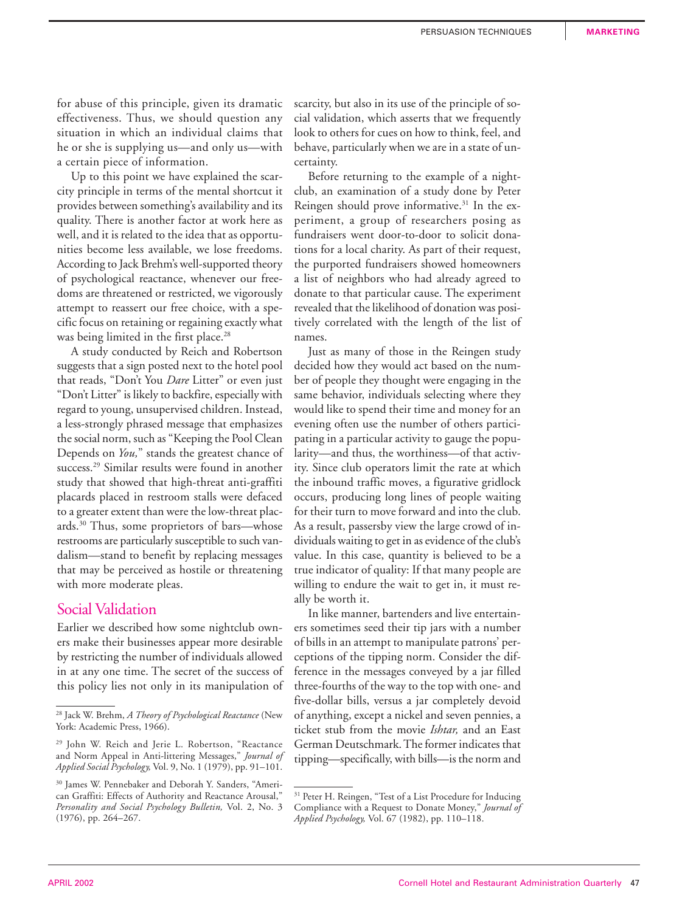for abuse of this principle, given its dramatic effectiveness. Thus, we should question any situation in which an individual claims that he or she is supplying us—and only us—with a certain piece of information.

Up to this point we have explained the scarcity principle in terms of the mental shortcut it provides between something's availability and its quality. There is another factor at work here as well, and it is related to the idea that as opportunities become less available, we lose freedoms. According to Jack Brehm's well-supported theory of psychological reactance, whenever our freedoms are threatened or restricted, we vigorously attempt to reassert our free choice, with a specific focus on retaining or regaining exactly what was being limited in the first place.<sup>28</sup>

A study conducted by Reich and Robertson suggests that a sign posted next to the hotel pool that reads, "Don't You *Dare* Litter" or even just "Don't Litter" is likely to backfire, especially with regard to young, unsupervised children. Instead, a less-strongly phrased message that emphasizes the social norm, such as "Keeping the Pool Clean Depends on *You,*" stands the greatest chance of success.<sup>29</sup> Similar results were found in another study that showed that high-threat anti-graffiti placards placed in restroom stalls were defaced to a greater extent than were the low-threat placards.30 Thus, some proprietors of bars—whose restrooms are particularly susceptible to such vandalism—stand to benefit by replacing messages that may be perceived as hostile or threatening with more moderate pleas.

## Social Validation

Earlier we described how some nightclub owners make their businesses appear more desirable by restricting the number of individuals allowed in at any one time. The secret of the success of this policy lies not only in its manipulation of scarcity, but also in its use of the principle of social validation, which asserts that we frequently look to others for cues on how to think, feel, and behave, particularly when we are in a state of uncertainty.

Before returning to the example of a nightclub, an examination of a study done by Peter Reingen should prove informative.<sup>31</sup> In the experiment, a group of researchers posing as fundraisers went door-to-door to solicit donations for a local charity. As part of their request, the purported fundraisers showed homeowners a list of neighbors who had already agreed to donate to that particular cause. The experiment revealed that the likelihood of donation was positively correlated with the length of the list of names.

Just as many of those in the Reingen study decided how they would act based on the number of people they thought were engaging in the same behavior, individuals selecting where they would like to spend their time and money for an evening often use the number of others participating in a particular activity to gauge the popularity—and thus, the worthiness—of that activity. Since club operators limit the rate at which the inbound traffic moves, a figurative gridlock occurs, producing long lines of people waiting for their turn to move forward and into the club. As a result, passersby view the large crowd of individuals waiting to get in as evidence of the club's value. In this case, quantity is believed to be a true indicator of quality: If that many people are willing to endure the wait to get in, it must really be worth it.

In like manner, bartenders and live entertainers sometimes seed their tip jars with a number of bills in an attempt to manipulate patrons' perceptions of the tipping norm. Consider the difference in the messages conveyed by a jar filled three-fourths of the way to the top with one- and five-dollar bills, versus a jar completely devoid of anything, except a nickel and seven pennies, a ticket stub from the movie *Ishtar,* and an East German Deutschmark. The former indicates that tipping—specifically, with bills—is the norm and

<sup>28</sup> Jack W. Brehm, *A Theory of Psychological Reactance* (New York: Academic Press, 1966).

<sup>29</sup> John W. Reich and Jerie L. Robertson, "Reactance and Norm Appeal in Anti-littering Messages," *Journal of Applied Social Psychology,* Vol. 9, No. 1 (1979), pp. 91–101.

<sup>30</sup> James W. Pennebaker and Deborah Y. Sanders, "American Graffiti: Effects of Authority and Reactance Arousal,' *Personality and Social Psychology Bulletin,* Vol. 2, No. 3 (1976), pp. 264–267.

<sup>&</sup>lt;sup>31</sup> Peter H. Reingen, "Test of a List Procedure for Inducing Compliance with a Request to Donate Money," *Journal of Applied Psychology,* Vol. 67 (1982), pp. 110–118.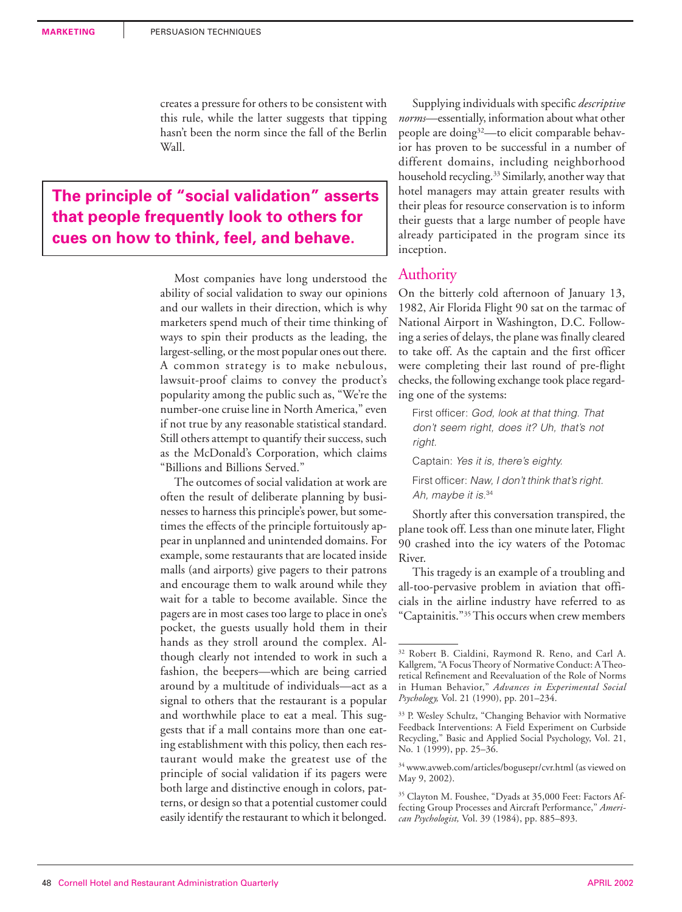creates a pressure for others to be consistent with this rule, while the latter suggests that tipping hasn't been the norm since the fall of the Berlin Wall.

# **The principle of "social validation" asserts that people frequently look to others for cues on how to think, feel, and behave.**

Most companies have long understood the ability of social validation to sway our opinions and our wallets in their direction, which is why marketers spend much of their time thinking of ways to spin their products as the leading, the largest-selling, or the most popular ones out there. A common strategy is to make nebulous, lawsuit-proof claims to convey the product's popularity among the public such as, "We're the number-one cruise line in North America," even if not true by any reasonable statistical standard. Still others attempt to quantify their success, such as the McDonald's Corporation, which claims "Billions and Billions Served."

The outcomes of social validation at work are often the result of deliberate planning by businesses to harness this principle's power, but sometimes the effects of the principle fortuitously appear in unplanned and unintended domains. For example, some restaurants that are located inside malls (and airports) give pagers to their patrons and encourage them to walk around while they wait for a table to become available. Since the pagers are in most cases too large to place in one's pocket, the guests usually hold them in their hands as they stroll around the complex. Although clearly not intended to work in such a fashion, the beepers—which are being carried around by a multitude of individuals—act as a signal to others that the restaurant is a popular and worthwhile place to eat a meal. This suggests that if a mall contains more than one eating establishment with this policy, then each restaurant would make the greatest use of the principle of social validation if its pagers were both large and distinctive enough in colors, patterns, or design so that a potential customer could easily identify the restaurant to which it belonged.

Supplying individuals with specific *descriptive norms*—essentially, information about what other people are doing32—to elicit comparable behavior has proven to be successful in a number of different domains, including neighborhood household recycling.<sup>33</sup> Similarly, another way that hotel managers may attain greater results with their pleas for resource conservation is to inform their guests that a large number of people have already participated in the program since its inception.

## **Authority**

On the bitterly cold afternoon of January 13, 1982, Air Florida Flight 90 sat on the tarmac of National Airport in Washington, D.C. Following a series of delays, the plane was finally cleared to take off. As the captain and the first officer were completing their last round of pre-flight checks, the following exchange took place regarding one of the systems:

First officer: God, look at that thing. That don't seem right, does it? Uh, that's not right.

Captain: Yes it is, there's eighty.

First officer: Naw, I don't think that's right. Ah, maybe it is.<sup>34</sup>

Shortly after this conversation transpired, the plane took off. Less than one minute later, Flight 90 crashed into the icy waters of the Potomac River.

This tragedy is an example of a troubling and all-too-pervasive problem in aviation that officials in the airline industry have referred to as "Captainitis."35 This occurs when crew members

34 www.avweb.com/articles/bogusepr/cvr.html (as viewed on May 9, 2002).

<sup>32</sup> Robert B. Cialdini, Raymond R. Reno, and Carl A. Kallgrem, "A Focus Theory of Normative Conduct: A Theoretical Refinement and Reevaluation of the Role of Norms in Human Behavior," *Advances in Experimental Social Psychology,* Vol. 21 (1990), pp. 201–234.

<sup>33</sup> P. Wesley Schultz, "Changing Behavior with Normative Feedback Interventions: A Field Experiment on Curbside Recycling," Basic and Applied Social Psychology, Vol. 21, No. 1 (1999), pp. 25–36.

<sup>35</sup> Clayton M. Foushee, "Dyads at 35,000 Feet: Factors Affecting Group Processes and Aircraft Performance," *American Psychologist,* Vol. 39 (1984), pp. 885–893.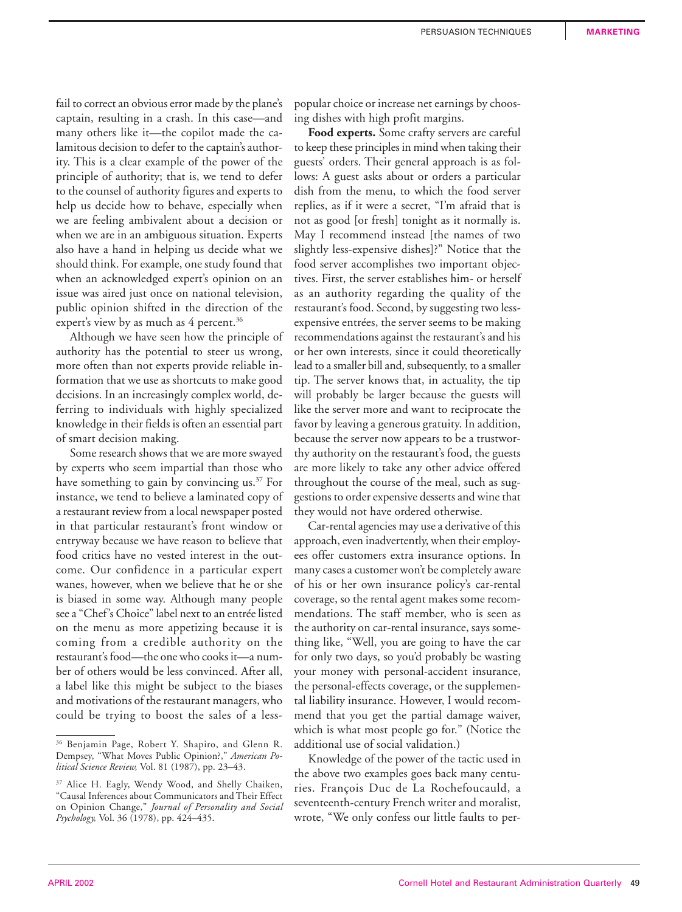fail to correct an obvious error made by the plane's captain, resulting in a crash. In this case—and many others like it—the copilot made the calamitous decision to defer to the captain's authority. This is a clear example of the power of the principle of authority; that is, we tend to defer to the counsel of authority figures and experts to help us decide how to behave, especially when we are feeling ambivalent about a decision or when we are in an ambiguous situation. Experts also have a hand in helping us decide what we should think. For example, one study found that when an acknowledged expert's opinion on an issue was aired just once on national television, public opinion shifted in the direction of the expert's view by as much as 4 percent.<sup>36</sup>

Although we have seen how the principle of authority has the potential to steer us wrong, more often than not experts provide reliable information that we use as shortcuts to make good decisions. In an increasingly complex world, deferring to individuals with highly specialized knowledge in their fields is often an essential part of smart decision making.

Some research shows that we are more swayed by experts who seem impartial than those who have something to gain by convincing us.<sup>37</sup> For instance, we tend to believe a laminated copy of a restaurant review from a local newspaper posted in that particular restaurant's front window or entryway because we have reason to believe that food critics have no vested interest in the outcome. Our confidence in a particular expert wanes, however, when we believe that he or she is biased in some way. Although many people see a "Chef's Choice" label next to an entrée listed on the menu as more appetizing because it is coming from a credible authority on the restaurant's food—the one who cooks it—a number of others would be less convinced. After all, a label like this might be subject to the biases and motivations of the restaurant managers, who could be trying to boost the sales of a less-

popular choice or increase net earnings by choosing dishes with high profit margins.

**Food experts.** Some crafty servers are careful to keep these principles in mind when taking their guests' orders. Their general approach is as follows: A guest asks about or orders a particular dish from the menu, to which the food server replies, as if it were a secret, "I'm afraid that is not as good [or fresh] tonight as it normally is. May I recommend instead [the names of two slightly less-expensive dishes]?" Notice that the food server accomplishes two important objectives. First, the server establishes him- or herself as an authority regarding the quality of the restaurant's food. Second, by suggesting two lessexpensive entrées, the server seems to be making recommendations against the restaurant's and his or her own interests, since it could theoretically lead to a smaller bill and, subsequently, to a smaller tip. The server knows that, in actuality, the tip will probably be larger because the guests will like the server more and want to reciprocate the favor by leaving a generous gratuity. In addition, because the server now appears to be a trustworthy authority on the restaurant's food, the guests are more likely to take any other advice offered throughout the course of the meal, such as suggestions to order expensive desserts and wine that they would not have ordered otherwise.

Car-rental agencies may use a derivative of this approach, even inadvertently, when their employees offer customers extra insurance options. In many cases a customer won't be completely aware of his or her own insurance policy's car-rental coverage, so the rental agent makes some recommendations. The staff member, who is seen as the authority on car-rental insurance, says something like, "Well, you are going to have the car for only two days, so you'd probably be wasting your money with personal-accident insurance, the personal-effects coverage, or the supplemental liability insurance. However, I would recommend that you get the partial damage waiver, which is what most people go for." (Notice the additional use of social validation.)

Knowledge of the power of the tactic used in the above two examples goes back many centuries. François Duc de La Rochefoucauld, a seventeenth-century French writer and moralist, wrote, "We only confess our little faults to per-

<sup>36</sup> Benjamin Page, Robert Y. Shapiro, and Glenn R. Dempsey, "What Moves Public Opinion?," *American Political Science Review,* Vol. 81 (1987), pp. 23–43.

<sup>&</sup>lt;sup>37</sup> Alice H. Eagly, Wendy Wood, and Shelly Chaiken, "Causal Inferences about Communicators and Their Effect on Opinion Change," *Journal of Personality and Social Psychology,* Vol. 36 (1978), pp. 424–435.